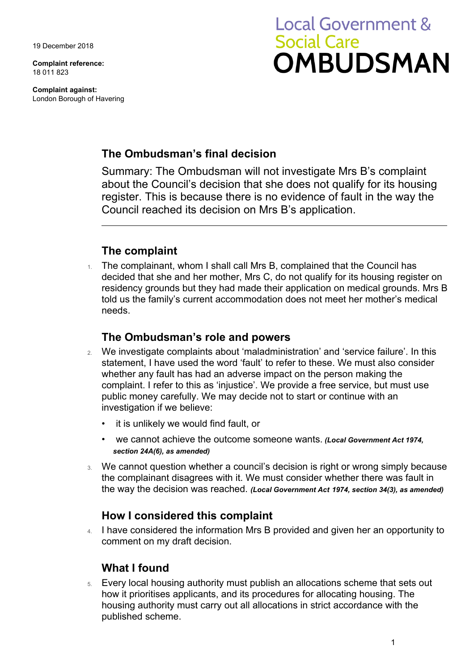19 December 2018

**Complaint reference:**  18 011 823

**Complaint against:**  London Borough of Havering

# **Local Government & Social Care OMBUDSMAN**

## **The Ombudsman's final decision**

Summary: The Ombudsman will not investigate Mrs B's complaint about the Council's decision that she does not qualify for its housing register. This is because there is no evidence of fault in the way the Council reached its decision on Mrs B's application.

## **The complaint**

1. The complainant, whom I shall call Mrs B, complained that the Council has decided that she and her mother, Mrs C, do not qualify for its housing register on residency grounds but they had made their application on medical grounds. Mrs B told us the family's current accommodation does not meet her mother's medical needs.

### **The Ombudsman's role and powers**

- 2. We investigate complaints about 'maladministration' and 'service failure'. In this statement, I have used the word 'fault' to refer to these. We must also consider whether any fault has had an adverse impact on the person making the complaint. I refer to this as 'injustice'. We provide a free service, but must use public money carefully. We may decide not to start or continue with an investigation if we believe:
	- it is unlikely we would find fault, or
	- we cannot achieve the outcome someone wants. *(Local Government Act 1974, section 24A(6), as amended)*
- 3. We cannot question whether a council's decision is right or wrong simply because the complainant disagrees with it. We must consider whether there was fault in the way the decision was reached. *(Local Government Act 1974, section 34(3), as amended)*

### **How I considered this complaint**

4. I have considered the information Mrs B provided and given her an opportunity to comment on my draft decision.

### **What I found**

5. Every local housing authority must publish an allocations scheme that sets out how it prioritises applicants, and its procedures for allocating housing. The housing authority must carry out all allocations in strict accordance with the published scheme.